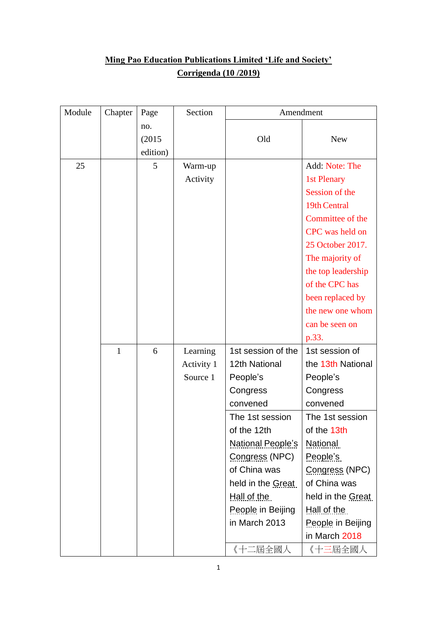## **Ming Pao Education Publications Limited 'Life and Society' Corrigenda (10 /2019)**

| Module | Chapter      | Page                      | Section    |                          | Amendment          |
|--------|--------------|---------------------------|------------|--------------------------|--------------------|
|        |              | no.<br>(2015)<br>edition) |            | Old                      | <b>New</b>         |
| 25     |              | 5                         | Warm-up    |                          | Add: Note: The     |
|        |              |                           | Activity   |                          | 1st Plenary        |
|        |              |                           |            |                          | Session of the     |
|        |              |                           |            |                          | 19th Central       |
|        |              |                           |            |                          | Committee of the   |
|        |              |                           |            |                          | CPC was held on    |
|        |              |                           |            |                          | 25 October 2017.   |
|        |              |                           |            |                          | The majority of    |
|        |              |                           |            |                          | the top leadership |
|        |              |                           |            |                          | of the CPC has     |
|        |              |                           |            |                          | been replaced by   |
|        |              |                           |            |                          | the new one whom   |
|        |              |                           |            |                          | can be seen on     |
|        |              |                           |            |                          | p.33.              |
|        | $\mathbf{1}$ | 6                         | Learning   | 1st session of the       | 1st session of     |
|        |              |                           | Activity 1 | 12th National            | the 13th National  |
|        |              |                           | Source 1   | People's                 | People's           |
|        |              |                           |            | Congress                 | Congress           |
|        |              |                           |            | convened                 | convened           |
|        |              |                           |            | The 1st session          | The 1st session    |
|        |              |                           |            | of the 12th              | of the 13th        |
|        |              |                           |            | <b>National People's</b> | <b>National</b>    |
|        |              |                           |            | Congress (NPC)           | People's           |
|        |              |                           |            | of China was             | Congress (NPC)     |
|        |              |                           |            | held in the Great        | of China was       |
|        |              |                           |            | Hall of the              | held in the Great  |
|        |              |                           |            | People in Beijing        | Hall of the        |
|        |              |                           |            | in March 2013            | People in Beijing  |
|        |              |                           |            |                          | in March 2018      |
|        |              |                           |            | 《十二屆全國人                  | 《十三屆全國人            |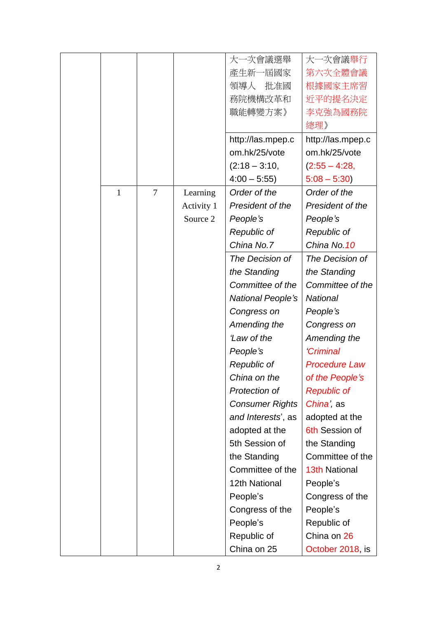|              |                |            | 大一次會議選舉                | 大一次會議舉行              |
|--------------|----------------|------------|------------------------|----------------------|
|              |                |            | 產生新一屆國家                | 第六次全體會議              |
|              |                |            | 批准國<br>領導人             | 根據國家主席習              |
|              |                |            | 務院機構改革和                | 近平的提名決定              |
|              |                |            | 職能轉變方案》                | 李克強為國務院              |
|              |                |            |                        | 總理》                  |
|              |                |            | http://las.mpep.c      | http://las.mpep.c    |
|              |                |            | om.hk/25/vote          | om.hk/25/vote        |
|              |                |            | $(2:18 - 3:10,$        | $(2:55 - 4:28,$      |
|              |                |            | $4:00 - 5:55$          | $5:08 - 5:30$        |
| $\mathbf{1}$ | $\overline{7}$ | Learning   | Order of the           | Order of the         |
|              |                | Activity 1 | President of the       | President of the     |
|              |                | Source 2   | People's               | People's             |
|              |                |            | Republic of            | Republic of          |
|              |                |            | China No.7             | China No. 10         |
|              |                |            | The Decision of        | The Decision of      |
|              |                |            | the Standing           | the Standing         |
|              |                |            | Committee of the       | Committee of the     |
|              |                |            | National People's      | <b>National</b>      |
|              |                |            | Congress on            | People's             |
|              |                |            | Amending the           | Congress on          |
|              |                |            | 'Law of the            | Amending the         |
|              |                |            | People's               | <b>Criminal</b>      |
|              |                |            | Republic of            | <b>Procedure Law</b> |
|              |                |            | China on the           | of the People's      |
|              |                |            | Protection of          | <b>Republic of</b>   |
|              |                |            | <b>Consumer Rights</b> | China', as           |
|              |                |            | and Interests', as     | adopted at the       |
|              |                |            | adopted at the         | 6th Session of       |
|              |                |            | 5th Session of         | the Standing         |
|              |                |            | the Standing           | Committee of the     |
|              |                |            | Committee of the       | <b>13th National</b> |
|              |                |            | 12th National          | People's             |
|              |                |            | People's               | Congress of the      |
|              |                |            | Congress of the        | People's             |
|              |                |            | People's               | Republic of          |
|              |                |            | Republic of            | China on 26          |
|              |                |            | China on 25            | October 2018, is     |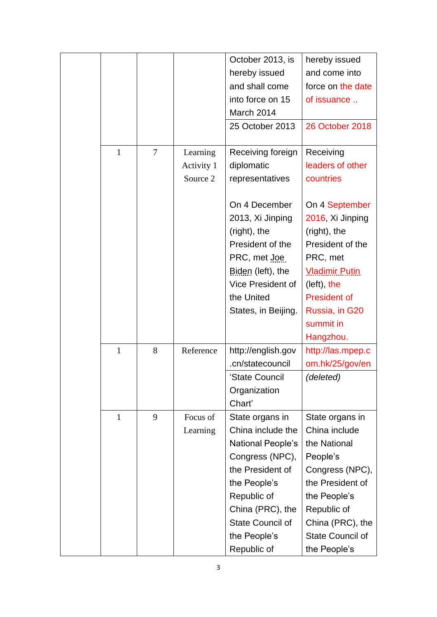|              |                |            | October 2013, is        | hereby issued           |
|--------------|----------------|------------|-------------------------|-------------------------|
|              |                |            | hereby issued           | and come into           |
|              |                |            | and shall come          | force on the date       |
|              |                |            | into force on 15        | of issuance             |
|              |                |            | March 2014              |                         |
|              |                |            | 25 October 2013         | 26 October 2018         |
| $\mathbf{1}$ | $\overline{7}$ | Learning   | Receiving foreign       | Receiving               |
|              |                | Activity 1 | diplomatic              | leaders of other        |
|              |                | Source 2   | representatives         | countries               |
|              |                |            | On 4 December           | On 4 September          |
|              |                |            | 2013, Xi Jinping        | 2016, Xi Jinping        |
|              |                |            | (right), the            | (right), the            |
|              |                |            | President of the        | President of the        |
|              |                |            | PRC, met Joe            | PRC, met                |
|              |                |            | Biden (left), the       | <b>Vladimir Putin</b>   |
|              |                |            | Vice President of       | (left), the             |
|              |                |            | the United              | <b>President of</b>     |
|              |                |            | States, in Beijing.     | Russia, in G20          |
|              |                |            |                         | summit in               |
|              |                |            |                         | Hangzhou.               |
| $\mathbf{1}$ | 8              | Reference  | http://english.gov      | http://las.mpep.c       |
|              |                |            | .cn/statecouncil        | om.hk/25/gov/en         |
|              |                |            | 'State Council          | (deleted)               |
|              |                |            | Organization            |                         |
|              |                |            | Chart'                  |                         |
| $\mathbf{1}$ | 9              | Focus of   | State organs in         | State organs in         |
|              |                | Learning   | China include the       | China include           |
|              |                |            | National People's       | the National            |
|              |                |            | Congress (NPC),         | People's                |
|              |                |            | the President of        | Congress (NPC),         |
|              |                |            | the People's            | the President of        |
|              |                |            | Republic of             | the People's            |
|              |                |            | China (PRC), the        | Republic of             |
|              |                |            | <b>State Council of</b> | China (PRC), the        |
|              |                |            | the People's            | <b>State Council of</b> |
|              |                |            | Republic of             | the People's            |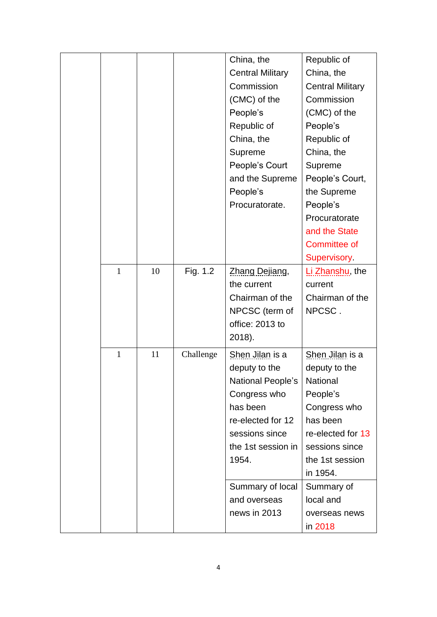|              |    |           | China, the              | Republic of             |
|--------------|----|-----------|-------------------------|-------------------------|
|              |    |           | <b>Central Military</b> | China, the              |
|              |    |           | Commission              | <b>Central Military</b> |
|              |    |           | (CMC) of the            | Commission              |
|              |    |           | People's                | (CMC) of the            |
|              |    |           | Republic of             | People's                |
|              |    |           | China, the              | Republic of             |
|              |    |           | Supreme                 | China, the              |
|              |    |           | People's Court          | Supreme                 |
|              |    |           | and the Supreme         | People's Court,         |
|              |    |           | People's                | the Supreme             |
|              |    |           | Procuratorate.          | People's                |
|              |    |           |                         | Procuratorate           |
|              |    |           |                         | and the State           |
|              |    |           |                         | Committee of            |
|              |    |           |                         | Supervisory.            |
| $\mathbf{1}$ | 10 | Fig. 1.2  | Zhang Dejiang,          | Li Zhanshu, the         |
|              |    |           | the current             | current                 |
|              |    |           | Chairman of the         | Chairman of the         |
|              |    |           | NPCSC (term of          | NPCSC.                  |
|              |    |           | office: 2013 to         |                         |
|              |    |           | 2018).                  |                         |
| $\mathbf{1}$ | 11 | Challenge | Shen Jilan is a         | Shen Jilan is a         |
|              |    |           | deputy to the           | deputy to the           |
|              |    |           | National People's       | National                |
|              |    |           | Congress who            | People's                |
|              |    |           | has been                | Congress who            |
|              |    |           | re-elected for 12       | has been                |
|              |    |           | sessions since          | re-elected for 13       |
|              |    |           | the 1st session in      | sessions since          |
|              |    |           | 1954.                   | the 1st session         |
|              |    |           |                         | in 1954.                |
|              |    |           | Summary of local        | Summary of              |
|              |    |           | and overseas            | local and               |
|              |    |           | news in 2013            | overseas news           |
|              |    |           |                         | in 2018                 |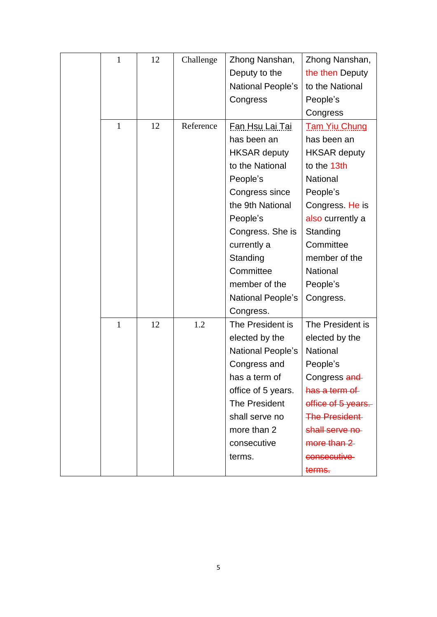| 1            | 12 | Challenge | Zhong Nanshan,       | Zhong Nanshan,       |
|--------------|----|-----------|----------------------|----------------------|
|              |    |           | Deputy to the        | the then Deputy      |
|              |    |           | National People's    | to the National      |
|              |    |           | Congress             | People's             |
|              |    |           |                      | Congress             |
| $\mathbf{1}$ | 12 | Reference | Fan Hsu Lai Tai      | <b>Tam Yiu Chung</b> |
|              |    |           | has been an          | has been an          |
|              |    |           | <b>HKSAR deputy</b>  | <b>HKSAR deputy</b>  |
|              |    |           | to the National      | to the 13th          |
|              |    |           | People's             | National             |
|              |    |           | Congress since       | People's             |
|              |    |           | the 9th National     | Congress. He is      |
|              |    |           | People's             | also currently a     |
|              |    |           | Congress. She is     | Standing             |
|              |    |           | currently a          | Committee            |
|              |    |           | Standing             | member of the        |
|              |    |           | Committee            | National             |
|              |    |           | member of the        | People's             |
|              |    |           | National People's    | Congress.            |
|              |    |           | Congress.            |                      |
| $\mathbf{1}$ | 12 | 1.2       | The President is     | The President is     |
|              |    |           | elected by the       | elected by the       |
|              |    |           | National People's    | National             |
|              |    |           | Congress and         | People's             |
|              |    |           | has a term of        | Congress and         |
|              |    |           | office of 5 years.   | has a term of        |
|              |    |           | <b>The President</b> | office of 5 years.   |
|              |    |           | shall serve no       | <b>The President</b> |
|              |    |           | more than 2          | shall serve no       |
|              |    |           | consecutive          | more than $2$        |
|              |    |           | terms.               | consecutive          |
|              |    |           |                      | terms.               |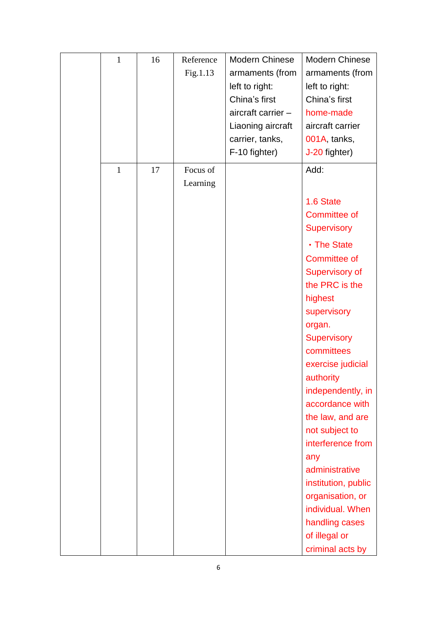| $\mathbf{1}$ | 16 | Reference | Modern Chinese     | <b>Modern Chinese</b> |
|--------------|----|-----------|--------------------|-----------------------|
|              |    | Fig.1.13  | armaments (from    | armaments (from       |
|              |    |           | left to right:     | left to right:        |
|              |    |           | China's first      | China's first         |
|              |    |           | aircraft carrier - | home-made             |
|              |    |           | Liaoning aircraft  | aircraft carrier      |
|              |    |           | carrier, tanks,    | 001A, tanks,          |
|              |    |           | F-10 fighter)      | J-20 fighter)         |
| $\mathbf{1}$ | 17 | Focus of  |                    | Add:                  |
|              |    | Learning  |                    |                       |
|              |    |           |                    | 1.6 State             |
|              |    |           |                    | <b>Committee of</b>   |
|              |    |           |                    | <b>Supervisory</b>    |
|              |    |           |                    | • The State           |
|              |    |           |                    | <b>Committee of</b>   |
|              |    |           |                    | <b>Supervisory of</b> |
|              |    |           |                    | the PRC is the        |
|              |    |           |                    | highest               |
|              |    |           |                    | supervisory           |
|              |    |           |                    | organ.                |
|              |    |           |                    | <b>Supervisory</b>    |
|              |    |           |                    | committees            |
|              |    |           |                    | exercise judicial     |
|              |    |           |                    | authority             |
|              |    |           |                    | independently, in     |
|              |    |           |                    | accordance with       |
|              |    |           |                    | the law, and are      |
|              |    |           |                    | not subject to        |
|              |    |           |                    | interference from     |
|              |    |           |                    | any                   |
|              |    |           |                    | administrative        |
|              |    |           |                    | institution, public   |
|              |    |           |                    | organisation, or      |
|              |    |           |                    | individual. When      |
|              |    |           |                    | handling cases        |
|              |    |           |                    | of illegal or         |
|              |    |           |                    | criminal acts by      |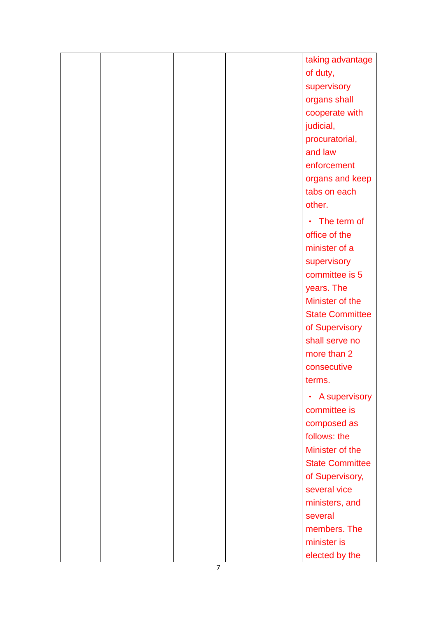|  |  | taking advantage       |
|--|--|------------------------|
|  |  | of duty,               |
|  |  | supervisory            |
|  |  | organs shall           |
|  |  | cooperate with         |
|  |  | judicial,              |
|  |  | procuratorial,         |
|  |  | and law                |
|  |  | enforcement            |
|  |  | organs and keep        |
|  |  | tabs on each           |
|  |  | other.                 |
|  |  | • The term of          |
|  |  | office of the          |
|  |  | minister of a          |
|  |  | supervisory            |
|  |  | committee is 5         |
|  |  | years. The             |
|  |  | Minister of the        |
|  |  | <b>State Committee</b> |
|  |  | of Supervisory         |
|  |  | shall serve no         |
|  |  | more than 2            |
|  |  | consecutive            |
|  |  | terms.                 |
|  |  | • A supervisory        |
|  |  | committee is           |
|  |  | composed as            |
|  |  | follows: the           |
|  |  | Minister of the        |
|  |  | <b>State Committee</b> |
|  |  | of Supervisory,        |
|  |  | several vice           |
|  |  | ministers, and         |
|  |  | several                |
|  |  | members. The           |
|  |  | minister is            |
|  |  | elected by the         |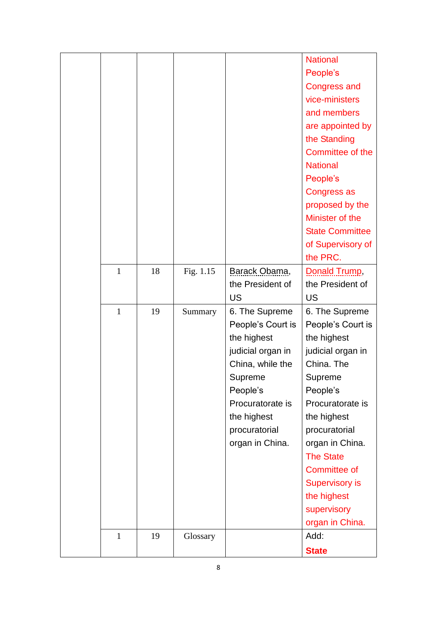|              |    |             |                   | <b>National</b>        |
|--------------|----|-------------|-------------------|------------------------|
|              |    |             |                   | People's               |
|              |    |             |                   | <b>Congress and</b>    |
|              |    |             |                   | vice-ministers         |
|              |    |             |                   | and members            |
|              |    |             |                   | are appointed by       |
|              |    |             |                   | the Standing           |
|              |    |             |                   | Committee of the       |
|              |    |             |                   | <b>National</b>        |
|              |    |             |                   | People's               |
|              |    |             |                   | Congress as            |
|              |    |             |                   | proposed by the        |
|              |    |             |                   | Minister of the        |
|              |    |             |                   | <b>State Committee</b> |
|              |    |             |                   | of Supervisory of      |
|              |    |             |                   | the PRC.               |
| $\mathbf{1}$ | 18 | Fig. $1.15$ | Barack Obama,     | Donald Trump,          |
|              |    |             | the President of  | the President of       |
|              |    |             | <b>US</b>         | <b>US</b>              |
| $\mathbf{1}$ | 19 | Summary     | 6. The Supreme    | 6. The Supreme         |
|              |    |             | People's Court is | People's Court is      |
|              |    |             | the highest       | the highest            |
|              |    |             | judicial organ in | judicial organ in      |
|              |    |             | China, while the  | China. The             |
|              |    |             | Supreme           | Supreme                |
|              |    |             | People's          | People's               |
|              |    |             | Procuratorate is  | Procuratorate is       |
|              |    |             | the highest       | the highest            |
|              |    |             | procuratorial     | procuratorial          |
|              |    |             | organ in China.   | organ in China.        |
|              |    |             |                   | <b>The State</b>       |
|              |    |             |                   | <b>Committee of</b>    |
|              |    |             |                   | <b>Supervisory is</b>  |
|              |    |             |                   | the highest            |
|              |    |             |                   | supervisory            |
|              |    |             |                   |                        |
|              |    |             |                   | organ in China.        |
| $\mathbf{1}$ | 19 | Glossary    |                   | Add:                   |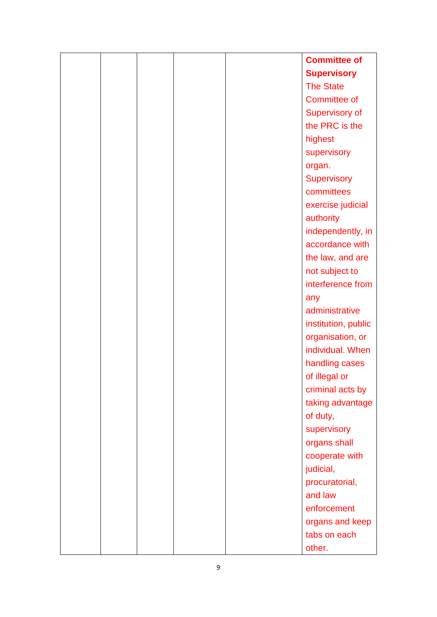|  |  | <b>Committee of</b>   |
|--|--|-----------------------|
|  |  | <b>Supervisory</b>    |
|  |  | <b>The State</b>      |
|  |  | <b>Committee of</b>   |
|  |  | <b>Supervisory of</b> |
|  |  | the PRC is the        |
|  |  | highest               |
|  |  | supervisory           |
|  |  | organ.                |
|  |  | <b>Supervisory</b>    |
|  |  | committees            |
|  |  | exercise judicial     |
|  |  | authority             |
|  |  | independently, in     |
|  |  | accordance with       |
|  |  | the law, and are      |
|  |  | not subject to        |
|  |  | interference from     |
|  |  | any                   |
|  |  | administrative        |
|  |  | institution, public   |
|  |  | organisation, or      |
|  |  | individual. When      |
|  |  | handling cases        |
|  |  | of illegal or         |
|  |  | criminal acts by      |
|  |  | taking advantage      |
|  |  | of duty,              |
|  |  | supervisory           |
|  |  | organs shall          |
|  |  | cooperate with        |
|  |  | judicial,             |
|  |  | procuratorial,        |
|  |  | and law               |
|  |  | enforcement           |
|  |  | organs and keep       |
|  |  | tabs on each          |
|  |  | other.                |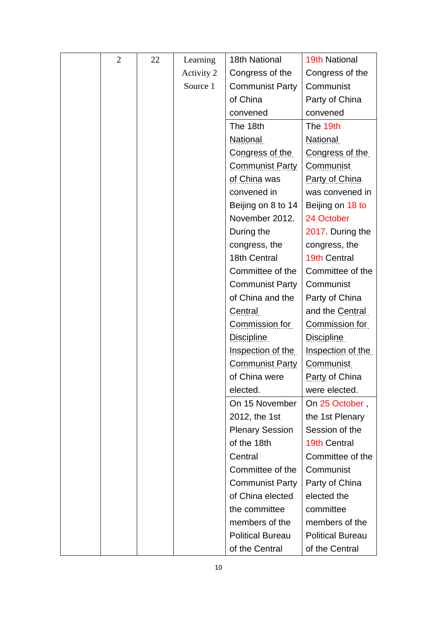| $\overline{2}$ | 22 | Learning   | 18th National           | <b>19th National</b>    |
|----------------|----|------------|-------------------------|-------------------------|
|                |    | Activity 2 | Congress of the         | Congress of the         |
|                |    | Source 1   | <b>Communist Party</b>  | Communist               |
|                |    |            | of China                | Party of China          |
|                |    |            | convened                | convened                |
|                |    |            | The 18th                | The 19th                |
|                |    |            | <b>National</b>         | <b>National</b>         |
|                |    |            | Congress of the         | Congress of the         |
|                |    |            | <b>Communist Party</b>  | Communist               |
|                |    |            | of China was            | Party of China          |
|                |    |            | convened in             | was convened in         |
|                |    |            | Beijing on 8 to 14      | Beijing on 18 to        |
|                |    |            | November 2012.          | 24 October              |
|                |    |            | During the              | 2017. During the        |
|                |    |            | congress, the           | congress, the           |
|                |    |            | 18th Central            | 19th Central            |
|                |    |            | Committee of the        | Committee of the        |
|                |    |            | <b>Communist Party</b>  | Communist               |
|                |    |            | of China and the        | Party of China          |
|                |    |            | <b>Central</b>          | and the Central         |
|                |    |            | Commission for          | Commission for          |
|                |    |            | Discipline              | Discipline              |
|                |    |            | Inspection of the       | Inspection of the       |
|                |    |            | <b>Communist Party</b>  | <b>Communist</b>        |
|                |    |            | of China were           | Party of China          |
|                |    |            | elected.                | were elected.           |
|                |    |            | On 15 November          | On 25 October,          |
|                |    |            | 2012, the 1st           | the 1st Plenary         |
|                |    |            | <b>Plenary Session</b>  | Session of the          |
|                |    |            | of the 18th             | 19th Central            |
|                |    |            | Central                 | Committee of the        |
|                |    |            | Committee of the        | Communist               |
|                |    |            | <b>Communist Party</b>  | Party of China          |
|                |    |            | of China elected        | elected the             |
|                |    |            | the committee           | committee               |
|                |    |            | members of the          | members of the          |
|                |    |            | <b>Political Bureau</b> | <b>Political Bureau</b> |
|                |    |            | of the Central          | of the Central          |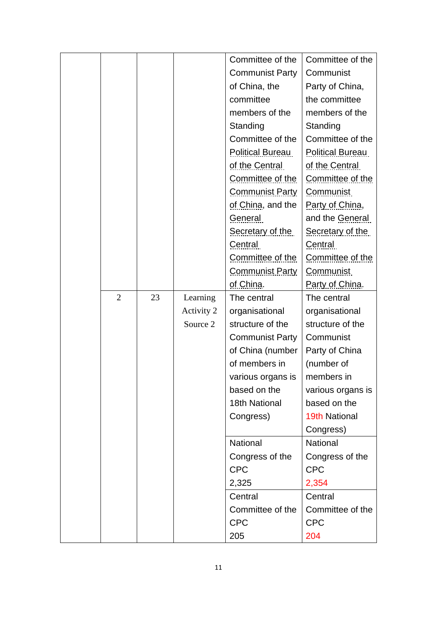|                |    |            | Committee of the       | Committee of the     |
|----------------|----|------------|------------------------|----------------------|
|                |    |            | <b>Communist Party</b> | Communist            |
|                |    |            | of China, the          | Party of China,      |
|                |    |            | committee              | the committee        |
|                |    |            | members of the         | members of the       |
|                |    |            | Standing               | Standing             |
|                |    |            | Committee of the       | Committee of the     |
|                |    |            | Political Bureau       | Political Bureau     |
|                |    |            | of the Central         | of the Central       |
|                |    |            | Committee of the       | Committee of the     |
|                |    |            | <b>Communist Party</b> | <b>Communist</b>     |
|                |    |            | of China, and the      | Party of China,      |
|                |    |            | General                | and the General      |
|                |    |            | Secretary of the       | Secretary of the     |
|                |    |            | Central                | Central              |
|                |    |            | Committee of the       | Committee of the     |
|                |    |            | <b>Communist Party</b> | <b>Communist</b>     |
|                |    |            | of China.              | Party of China.      |
| $\overline{2}$ | 23 | Learning   | The central            | The central          |
|                |    | Activity 2 | organisational         | organisational       |
|                |    | Source 2   | structure of the       | structure of the     |
|                |    |            | <b>Communist Party</b> | Communist            |
|                |    |            | of China (number       | Party of China       |
|                |    |            | of members in          | (number of           |
|                |    |            | various organs is      | members in           |
|                |    |            | based on the           | various organs is    |
|                |    |            | 18th National          | based on the         |
|                |    |            | Congress)              | <b>19th National</b> |
|                |    |            |                        | Congress)            |
|                |    |            | National               | National             |
|                |    |            | Congress of the        | Congress of the      |
|                |    |            | <b>CPC</b>             | <b>CPC</b>           |
|                |    |            | 2,325                  | 2,354                |
|                |    |            | Central                | Central              |
|                |    |            | Committee of the       | Committee of the     |
|                |    |            | <b>CPC</b>             | <b>CPC</b>           |
|                |    |            | 205                    | 204                  |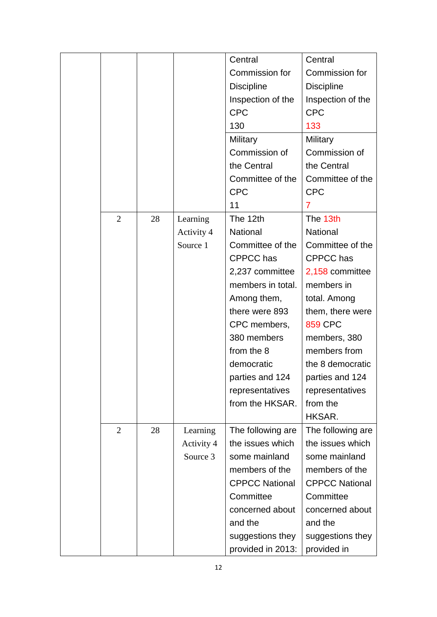|                |    |            | Central               | Central               |
|----------------|----|------------|-----------------------|-----------------------|
|                |    |            | Commission for        | Commission for        |
|                |    |            | <b>Discipline</b>     | <b>Discipline</b>     |
|                |    |            | Inspection of the     | Inspection of the     |
|                |    |            | <b>CPC</b>            | <b>CPC</b>            |
|                |    |            | 130                   | 133                   |
|                |    |            | Military              | Military              |
|                |    |            | Commission of         | Commission of         |
|                |    |            | the Central           | the Central           |
|                |    |            | Committee of the      | Committee of the      |
|                |    |            | <b>CPC</b>            | <b>CPC</b>            |
|                |    |            | 11                    | $\overline{7}$        |
| $\overline{2}$ | 28 | Learning   | The 12th              | The 13th              |
|                |    | Activity 4 | <b>National</b>       | National              |
|                |    | Source 1   | Committee of the      | Committee of the      |
|                |    |            | <b>CPPCC</b> has      | <b>CPPCC</b> has      |
|                |    |            | 2,237 committee       | 2,158 committee       |
|                |    |            | members in total.     | members in            |
|                |    |            | Among them,           | total. Among          |
|                |    |            | there were 893        | them, there were      |
|                |    |            | CPC members,          | <b>859 CPC</b>        |
|                |    |            | 380 members           | members, 380          |
|                |    |            | from the 8            | members from          |
|                |    |            | democratic            | the 8 democratic      |
|                |    |            | parties and 124       | parties and 124       |
|                |    |            | representatives       | representatives       |
|                |    |            | from the HKSAR.       | from the              |
|                |    |            |                       | HKSAR.                |
| $\overline{2}$ | 28 | Learning   | The following are     | The following are     |
|                |    | Activity 4 | the issues which      | the issues which      |
|                |    | Source 3   | some mainland         | some mainland         |
|                |    |            | members of the        | members of the        |
|                |    |            | <b>CPPCC National</b> | <b>CPPCC National</b> |
|                |    |            | Committee             | Committee             |
|                |    |            | concerned about       | concerned about       |
|                |    |            | and the               | and the               |
|                |    |            | suggestions they      | suggestions they      |
|                |    |            | provided in 2013:     | provided in           |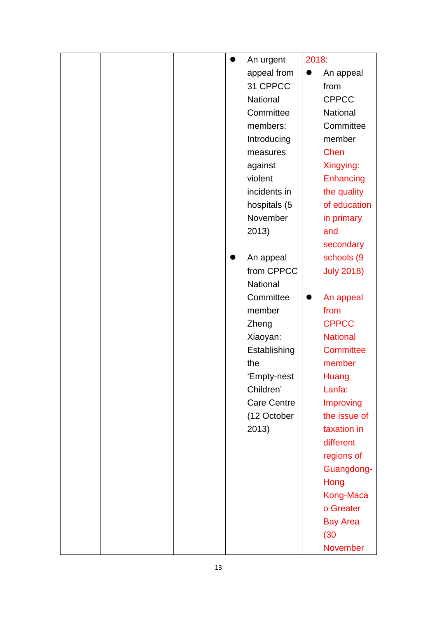|  |  | 0 | An urgent          | 2018:     |                   |
|--|--|---|--------------------|-----------|-------------------|
|  |  |   | appeal from        | $\bullet$ | An appeal         |
|  |  |   | 31 CPPCC           |           | from              |
|  |  |   | National           |           | <b>CPPCC</b>      |
|  |  |   | Committee          |           | National          |
|  |  |   | members:           |           | Committee         |
|  |  |   | Introducing        |           | member            |
|  |  |   | measures           |           | <b>Chen</b>       |
|  |  |   | against            |           | Xingying:         |
|  |  |   | violent            |           | Enhancing         |
|  |  |   | incidents in       |           | the quality       |
|  |  |   | hospitals (5       |           | of education      |
|  |  |   | November           |           | in primary        |
|  |  |   | 2013)              |           | and               |
|  |  |   |                    |           | secondary         |
|  |  |   | An appeal          |           | schools (9        |
|  |  |   | from CPPCC         |           | <b>July 2018)</b> |
|  |  |   | National           |           |                   |
|  |  |   | Committee          | $\bullet$ | An appeal         |
|  |  |   | member             |           | from              |
|  |  |   | Zheng              |           | <b>CPPCC</b>      |
|  |  |   | Xiaoyan:           |           | <b>National</b>   |
|  |  |   | Establishing       |           | <b>Committee</b>  |
|  |  |   | the                |           | member            |
|  |  |   | 'Empty-nest        |           | Huang             |
|  |  |   | Children'          |           | Lanfa:            |
|  |  |   | <b>Care Centre</b> |           | Improving         |
|  |  |   | (12 October        |           | the issue of      |
|  |  |   | 2013)              |           | taxation in       |
|  |  |   |                    |           | different         |
|  |  |   |                    |           | regions of        |
|  |  |   |                    |           | Guangdong-        |
|  |  |   |                    |           | Hong              |
|  |  |   |                    |           | Kong-Maca         |
|  |  |   |                    |           | o Greater         |
|  |  |   |                    |           | <b>Bay Area</b>   |
|  |  |   |                    |           | (30)              |
|  |  |   |                    |           | November          |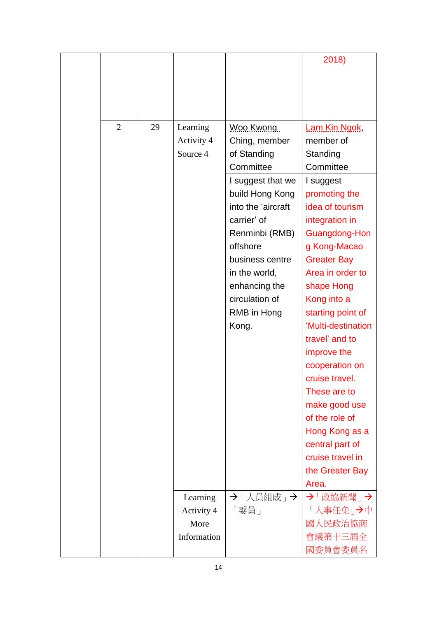|                |    |             |                    | 2018)              |
|----------------|----|-------------|--------------------|--------------------|
|                |    |             |                    |                    |
|                |    |             |                    |                    |
|                |    |             |                    |                    |
|                |    |             |                    |                    |
| $\overline{2}$ | 29 | Learning    | Woo Kwong          | Lam Kin Ngok,      |
|                |    | Activity 4  | Ching, member      | member of          |
|                |    | Source 4    | of Standing        | Standing           |
|                |    |             | Committee          | Committee          |
|                |    |             | I suggest that we  | I suggest          |
|                |    |             | build Hong Kong    | promoting the      |
|                |    |             | into the 'aircraft | idea of tourism    |
|                |    |             | carrier' of        | integration in     |
|                |    |             | Renminbi (RMB)     | Guangdong-Hon      |
|                |    |             | offshore           | g Kong-Macao       |
|                |    |             | business centre    | <b>Greater Bay</b> |
|                |    |             | in the world,      | Area in order to   |
|                |    |             | enhancing the      | shape Hong         |
|                |    |             | circulation of     | Kong into a        |
|                |    |             | RMB in Hong        | starting point of  |
|                |    |             | Kong.              | 'Multi-destination |
|                |    |             |                    | travel' and to     |
|                |    |             |                    | improve the        |
|                |    |             |                    | cooperation on     |
|                |    |             |                    | cruise travel.     |
|                |    |             |                    | These are to       |
|                |    |             |                    | make good use      |
|                |    |             |                    | of the role of     |
|                |    |             |                    | Hong Kong as a     |
|                |    |             |                    | central part of    |
|                |    |             |                    | cruise travel in   |
|                |    |             |                    | the Greater Bay    |
|                |    |             |                    | Area.              |
|                |    | Learning    | →「人員組成」→           | →「政協新聞」→           |
|                |    | Activity 4  | 「委員」               | 「人事任免」→中           |
|                |    | More        |                    | 國人民政治協商            |
|                |    | Information |                    | 會議第十三屆全            |
|                |    |             |                    | 國委員會委員名            |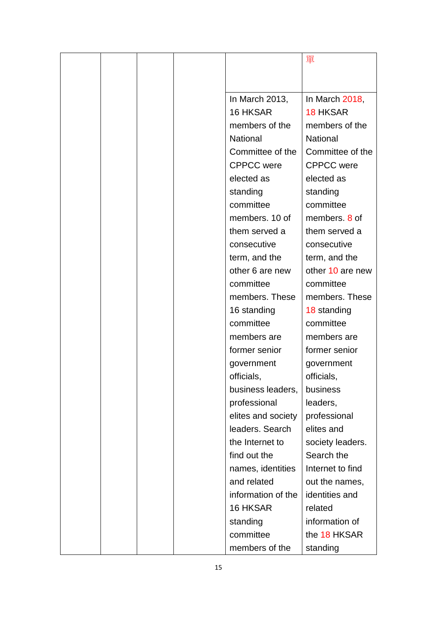|  |  |                    | 單                 |
|--|--|--------------------|-------------------|
|  |  |                    |                   |
|  |  |                    |                   |
|  |  | In March 2013,     | In March 2018,    |
|  |  | 16 HKSAR           | <b>18 HKSAR</b>   |
|  |  | members of the     | members of the    |
|  |  | National           | <b>National</b>   |
|  |  | Committee of the   | Committee of the  |
|  |  | <b>CPPCC</b> were  | <b>CPPCC</b> were |
|  |  | elected as         | elected as        |
|  |  | standing           | standing          |
|  |  | committee          | committee         |
|  |  | members. 10 of     | members, 8 of     |
|  |  | them served a      | them served a     |
|  |  | consecutive        | consecutive       |
|  |  | term, and the      | term, and the     |
|  |  | other 6 are new    | other 10 are new  |
|  |  | committee          | committee         |
|  |  | members. These     | members. These    |
|  |  | 16 standing        | 18 standing       |
|  |  | committee          | committee         |
|  |  | members are        | members are       |
|  |  | former senior      | former senior     |
|  |  | government         | government        |
|  |  | officials,         | officials,        |
|  |  | business leaders,  | business          |
|  |  | professional       | leaders,          |
|  |  | elites and society | professional      |
|  |  | leaders. Search    | elites and        |
|  |  | the Internet to    | society leaders.  |
|  |  | find out the       | Search the        |
|  |  | names, identities  | Internet to find  |
|  |  | and related        | out the names,    |
|  |  | information of the | identities and    |
|  |  | 16 HKSAR           | related           |
|  |  | standing           | information of    |
|  |  | committee          | the 18 HKSAR      |
|  |  | members of the     | standing          |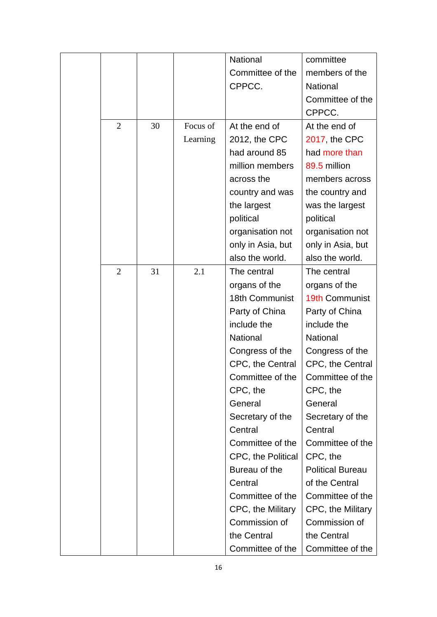|                |    |          | National           | committee               |
|----------------|----|----------|--------------------|-------------------------|
|                |    |          | Committee of the   | members of the          |
|                |    |          | CPPCC.             | <b>National</b>         |
|                |    |          |                    | Committee of the        |
|                |    |          |                    | CPPCC.                  |
| $\overline{2}$ | 30 | Focus of | At the end of      | At the end of           |
|                |    | Learning | 2012, the CPC      | 2017, the CPC           |
|                |    |          | had around 85      | had more than           |
|                |    |          | million members    | 89.5 million            |
|                |    |          | across the         | members across          |
|                |    |          | country and was    | the country and         |
|                |    |          | the largest        | was the largest         |
|                |    |          | political          | political               |
|                |    |          | organisation not   | organisation not        |
|                |    |          | only in Asia, but  | only in Asia, but       |
|                |    |          | also the world.    | also the world.         |
| $\overline{2}$ | 31 | 2.1      | The central        | The central             |
|                |    |          | organs of the      | organs of the           |
|                |    |          | 18th Communist     | 19th Communist          |
|                |    |          | Party of China     | Party of China          |
|                |    |          | include the        | include the             |
|                |    |          | National           | <b>National</b>         |
|                |    |          | Congress of the    | Congress of the         |
|                |    |          | CPC, the Central   | CPC, the Central        |
|                |    |          | Committee of the   | Committee of the        |
|                |    |          | CPC, the           | CPC, the                |
|                |    |          | General            | General                 |
|                |    |          | Secretary of the   | Secretary of the        |
|                |    |          | Central            | Central                 |
|                |    |          | Committee of the   | Committee of the        |
|                |    |          | CPC, the Political | CPC, the                |
|                |    |          | Bureau of the      | <b>Political Bureau</b> |
|                |    |          | Central            | of the Central          |
|                |    |          | Committee of the   | Committee of the        |
|                |    |          | CPC, the Military  | CPC, the Military       |
|                |    |          | Commission of      | Commission of           |
|                |    |          | the Central        | the Central             |
|                |    |          | Committee of the   | Committee of the        |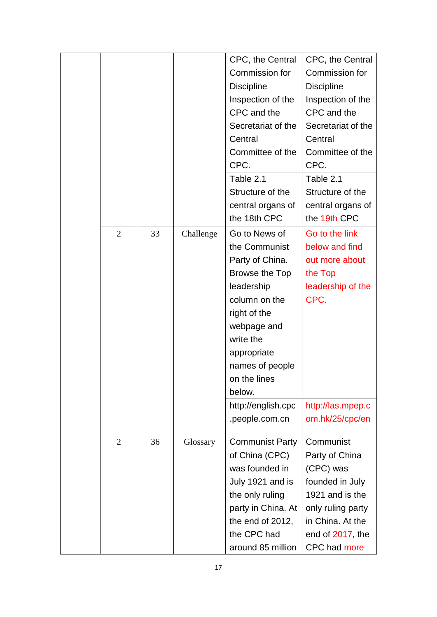|                |    |           | CPC, the Central       | CPC, the Central   |
|----------------|----|-----------|------------------------|--------------------|
|                |    |           | Commission for         | Commission for     |
|                |    |           | <b>Discipline</b>      | <b>Discipline</b>  |
|                |    |           | Inspection of the      | Inspection of the  |
|                |    |           | CPC and the            | CPC and the        |
|                |    |           | Secretariat of the     | Secretariat of the |
|                |    |           | Central                | Central            |
|                |    |           | Committee of the       | Committee of the   |
|                |    |           | CPC.                   | CPC.               |
|                |    |           | Table 2.1              | Table 2.1          |
|                |    |           | Structure of the       | Structure of the   |
|                |    |           | central organs of      | central organs of  |
|                |    |           | the 18th CPC           | the 19th CPC       |
| 2              | 33 | Challenge | Go to News of          | Go to the link     |
|                |    |           | the Communist          | below and find     |
|                |    |           | Party of China.        | out more about     |
|                |    |           | Browse the Top         | the Top            |
|                |    |           | leadership             | leadership of the  |
|                |    |           | column on the          | CPC.               |
|                |    |           | right of the           |                    |
|                |    |           | webpage and            |                    |
|                |    |           | write the              |                    |
|                |    |           | appropriate            |                    |
|                |    |           | names of people        |                    |
|                |    |           | on the lines           |                    |
|                |    |           | below.                 |                    |
|                |    |           | http://english.cpc     | http://las.mpep.c  |
|                |    |           | .people.com.cn         | om.hk/25/cpc/en    |
|                |    |           |                        |                    |
| $\overline{2}$ | 36 | Glossary  | <b>Communist Party</b> | Communist          |
|                |    |           | of China (CPC)         | Party of China     |
|                |    |           | was founded in         | (CPC) was          |
|                |    |           | July 1921 and is       | founded in July    |
|                |    |           | the only ruling        | 1921 and is the    |
|                |    |           | party in China. At     | only ruling party  |
|                |    |           | the end of 2012,       | in China. At the   |
|                |    |           | the CPC had            | end of 2017, the   |
|                |    |           | around 85 million      | CPC had more       |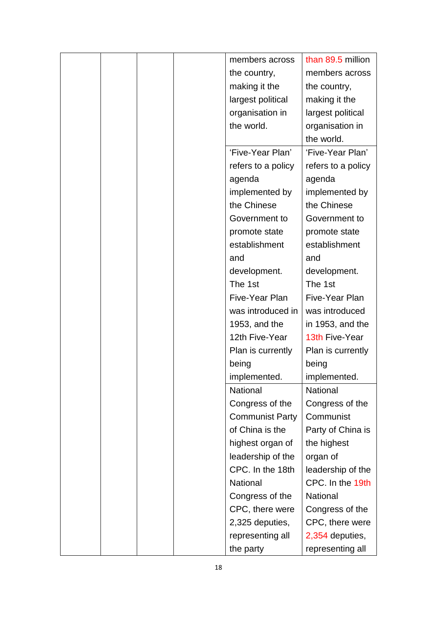|  | members across         | than 89.5 million  |
|--|------------------------|--------------------|
|  | the country,           | members across     |
|  | making it the          | the country,       |
|  | largest political      | making it the      |
|  | organisation in        | largest political  |
|  | the world.             | organisation in    |
|  |                        | the world.         |
|  | 'Five-Year Plan'       | 'Five-Year Plan'   |
|  | refers to a policy     | refers to a policy |
|  | agenda                 | agenda             |
|  | implemented by         | implemented by     |
|  | the Chinese            | the Chinese        |
|  | Government to          | Government to      |
|  | promote state          | promote state      |
|  | establishment          | establishment      |
|  | and                    | and                |
|  | development.           | development.       |
|  | The 1st                | The 1st            |
|  | Five-Year Plan         | Five-Year Plan     |
|  | was introduced in      | was introduced     |
|  | 1953, and the          | in 1953, and the   |
|  | 12th Five-Year         | 13th Five-Year     |
|  | Plan is currently      | Plan is currently  |
|  | being                  | being              |
|  | implemented.           | implemented.       |
|  | <b>National</b>        | <b>National</b>    |
|  | Congress of the        | Congress of the    |
|  | <b>Communist Party</b> | Communist          |
|  | of China is the        | Party of China is  |
|  | highest organ of       | the highest        |
|  | leadership of the      | organ of           |
|  | CPC. In the 18th       | leadership of the  |
|  | National               | CPC. In the 19th   |
|  | Congress of the        | National           |
|  | CPC, there were        | Congress of the    |
|  | 2,325 deputies,        | CPC, there were    |
|  | representing all       | 2,354 deputies,    |
|  | the party              | representing all   |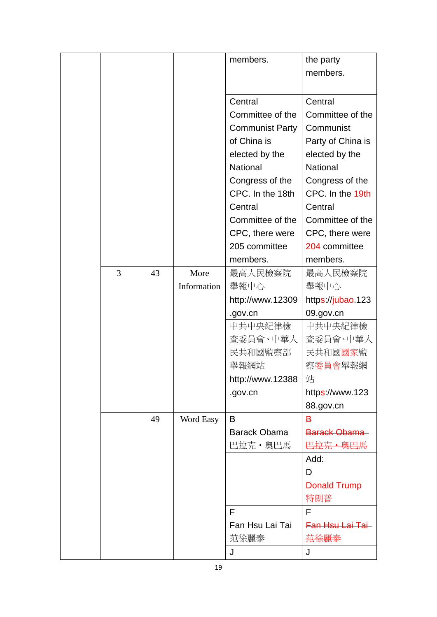|   |    |             | members.               | the party             |
|---|----|-------------|------------------------|-----------------------|
|   |    |             |                        | members.              |
|   |    |             |                        |                       |
|   |    |             | Central                | Central               |
|   |    |             | Committee of the       | Committee of the      |
|   |    |             | <b>Communist Party</b> | Communist             |
|   |    |             | of China is            | Party of China is     |
|   |    |             | elected by the         | elected by the        |
|   |    |             | National               | National              |
|   |    |             | Congress of the        | Congress of the       |
|   |    |             | CPC. In the 18th       | CPC. In the 19th      |
|   |    |             | Central                | Central               |
|   |    |             | Committee of the       | Committee of the      |
|   |    |             | CPC, there were        | CPC, there were       |
|   |    |             | 205 committee          | 204 committee         |
|   |    |             | members.               | members.              |
| 3 | 43 | More        | 最高人民檢察院                | 最高人民檢察院               |
|   |    | Information | 舉報中心                   | 舉報中心                  |
|   |    |             | http://www.12309       | https://jubao.123     |
|   |    |             |                        | 09.gov.cn             |
|   |    |             | .gov.cn                |                       |
|   |    |             | 中共中央紀律檢                | 中共中央紀律檢               |
|   |    |             | 查委員會、中華人               | 查委員會、中華人              |
|   |    |             | 民共和國監察部                | 民共和國 <mark>國家監</mark> |
|   |    |             | 舉報網站                   | 察委員會舉報網               |
|   |    |             | http://www.12388       | 站                     |
|   |    |             | .gov.cn                | https://www.123       |
|   |    |             |                        | 88.gov.cn             |
|   | 49 | Word Easy   | B                      | B                     |
|   |    |             | <b>Barack Obama</b>    | Barack Obama          |
|   |    |             | 巴拉克·奥巴馬                | <del>巴拉克 • 奧巴馬</del>  |
|   |    |             |                        | Add:                  |
|   |    |             |                        | D                     |
|   |    |             |                        | <b>Donald Trump</b>   |
|   |    |             |                        | 特朗普                   |
|   |    |             | F                      | F                     |
|   |    |             | Fan Hsu Lai Tai        | Fan Hsu Lai Tai-      |
|   |    |             | 范徐麗泰                   | <del>范徐麗泰</del>       |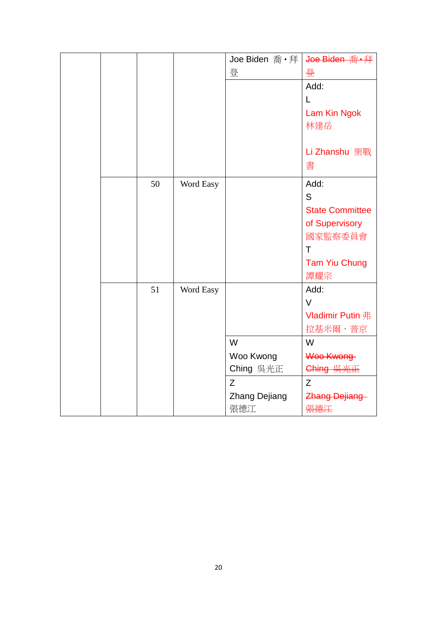|  |    |           | Joe Biden 喬 • 拜      | Joe Biden 喬·拜          |
|--|----|-----------|----------------------|------------------------|
|  |    |           | 登                    | 登                      |
|  |    |           |                      | Add:                   |
|  |    |           |                      | L                      |
|  |    |           |                      | Lam Kin Ngok           |
|  |    |           |                      | 林建岳                    |
|  |    |           |                      |                        |
|  |    |           |                      | Li Zhanshu 栗戰          |
|  |    |           |                      | 書                      |
|  | 50 | Word Easy |                      | Add:                   |
|  |    |           |                      | S                      |
|  |    |           |                      | <b>State Committee</b> |
|  |    |           |                      |                        |
|  |    |           |                      | of Supervisory         |
|  |    |           |                      | 國家監察委員會<br>T           |
|  |    |           |                      |                        |
|  |    |           |                      | <b>Tam Yiu Chung</b>   |
|  |    |           |                      | 譚耀宗                    |
|  | 51 | Word Easy |                      | Add:                   |
|  |    |           |                      | $\vee$                 |
|  |    |           |                      | Vladimir Putin 弗       |
|  |    |           |                      | 拉基米爾·普京                |
|  |    |           | W                    | W                      |
|  |    |           | Woo Kwong            | Woo Kwong              |
|  |    |           | Ching 吳光正            | Ching 吴光正              |
|  |    |           | Z                    | Z                      |
|  |    |           | <b>Zhang Dejiang</b> | <b>Zhang Dejiang</b>   |
|  |    |           | 張德江                  | 張德汪                    |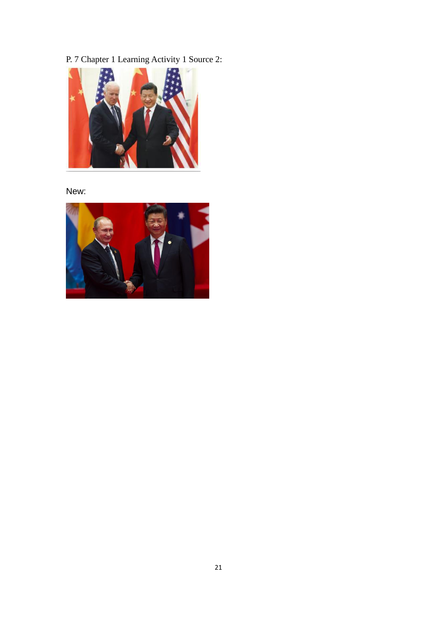P. 7 Chapter 1 Learning Activity 1 Source 2:



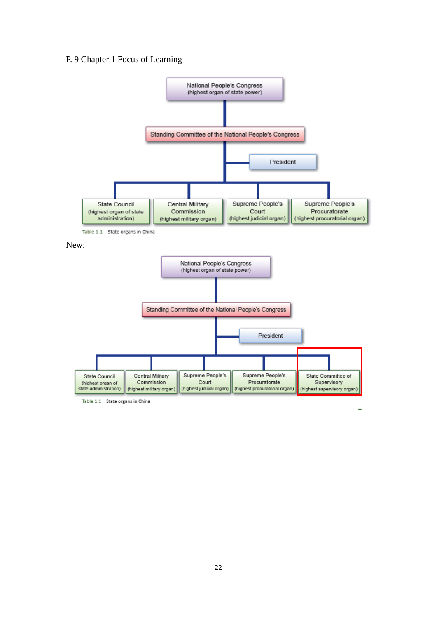#### P. 9 Chapter 1 Focus of Learning

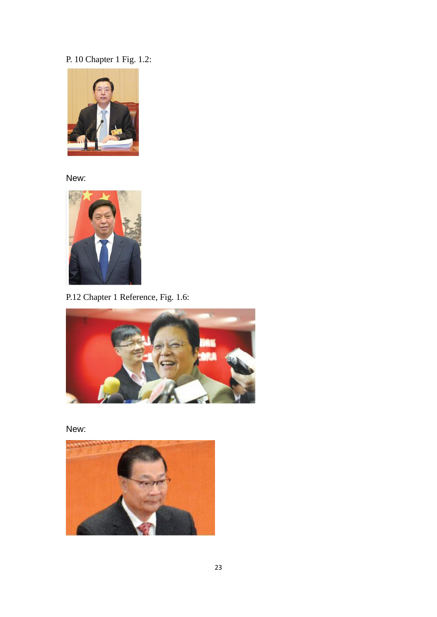# P. 10 Chapter 1 Fig. 1.2:



New:



P.12 Chapter 1 Reference, Fig. 1.6:



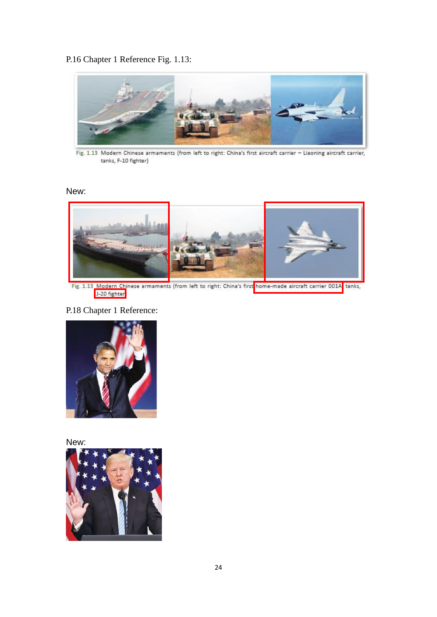### P.16 Chapter 1 Reference Fig. 1.13:



Fig. 1.13 Modern Chinese armaments (from left to right: China's first aircraft carrier - Liaoning aircraft carrier, tanks, F-10 fighter)

### New:



Fig. 1.13 Modern Chinese armaments (from left to right: China's first home-made aircraft carrier 001A tanks,

## P.18 Chapter 1 Reference:



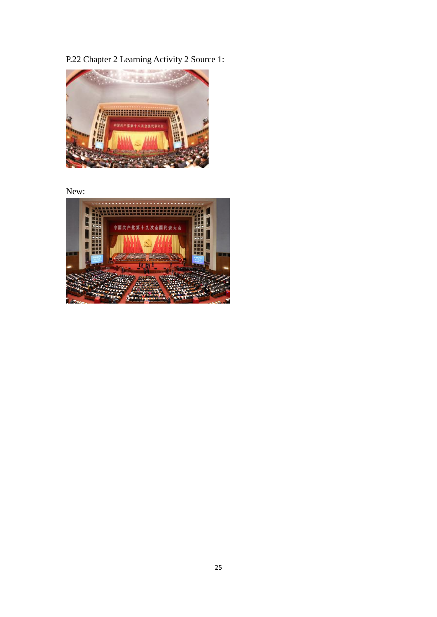P.22 Chapter 2 Learning Activity 2 Source 1:



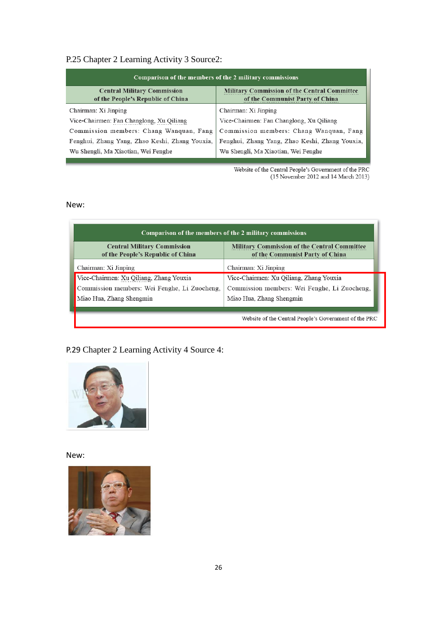## P.25 Chapter 2 Learning Activity 3 Source2:

| Comparison of the members of the 2 military commissions                 |                                                                                        |  |  |  |  |
|-------------------------------------------------------------------------|----------------------------------------------------------------------------------------|--|--|--|--|
| <b>Central Military Commission</b><br>of the People's Republic of China | <b>Military Commission of the Central Committee</b><br>of the Communist Party of China |  |  |  |  |
| Chairman: Xi Jinping                                                    | Chairman: Xi Jinping                                                                   |  |  |  |  |
| Vice-Chairmen: Fan Changlong, Xu Qiliang                                | Vice-Chairmen: Fan Changlong, Xu Qiliang                                               |  |  |  |  |
| Commission members: Chang Wanquan, Fang                                 | Commission members: Chang Wanquan, Fang                                                |  |  |  |  |
| Fenghui, Zhang Yang, Zhao Keshi, Zhang Youxia,                          | Fenghui, Zhang Yang, Zhao Keshi, Zhang Youxia,                                         |  |  |  |  |
| Wu Shengli, Ma Xiaotian, Wei Fenghe                                     | Wu Shengli, Ma Xiaotian, Wei Fenghe                                                    |  |  |  |  |

Website of the Central People's Government of the PRC<br>(15 November 2012 and 14 March 2013)

### New:

| Comparison of the members of the 2 military commissions                 |                                                                                        |  |  |  |
|-------------------------------------------------------------------------|----------------------------------------------------------------------------------------|--|--|--|
| <b>Central Military Commission</b><br>of the People's Republic of China | <b>Military Commission of the Central Committee</b><br>of the Communist Party of China |  |  |  |
| Chairman: Xi Jinping                                                    | Chairman: Xi Jinping                                                                   |  |  |  |
| Vice-Chairmen: Xu Qiliang, Zhang Youxia                                 | Vice-Chairmen: Xu Qiliang, Zhang Youxia                                                |  |  |  |
| Commission members: Wei Fenghe, Li Zuocheng,                            | Commission members: Wei Fenghe, Li Zuocheng,                                           |  |  |  |
| Miao Hua, Zhang Shengmin                                                | Miao Hua, Zhang Shengmin                                                               |  |  |  |
|                                                                         |                                                                                        |  |  |  |
|                                                                         | Website of the Central People's Government of the PRC                                  |  |  |  |

# P.29 Chapter 2 Learning Activity 4 Source 4: